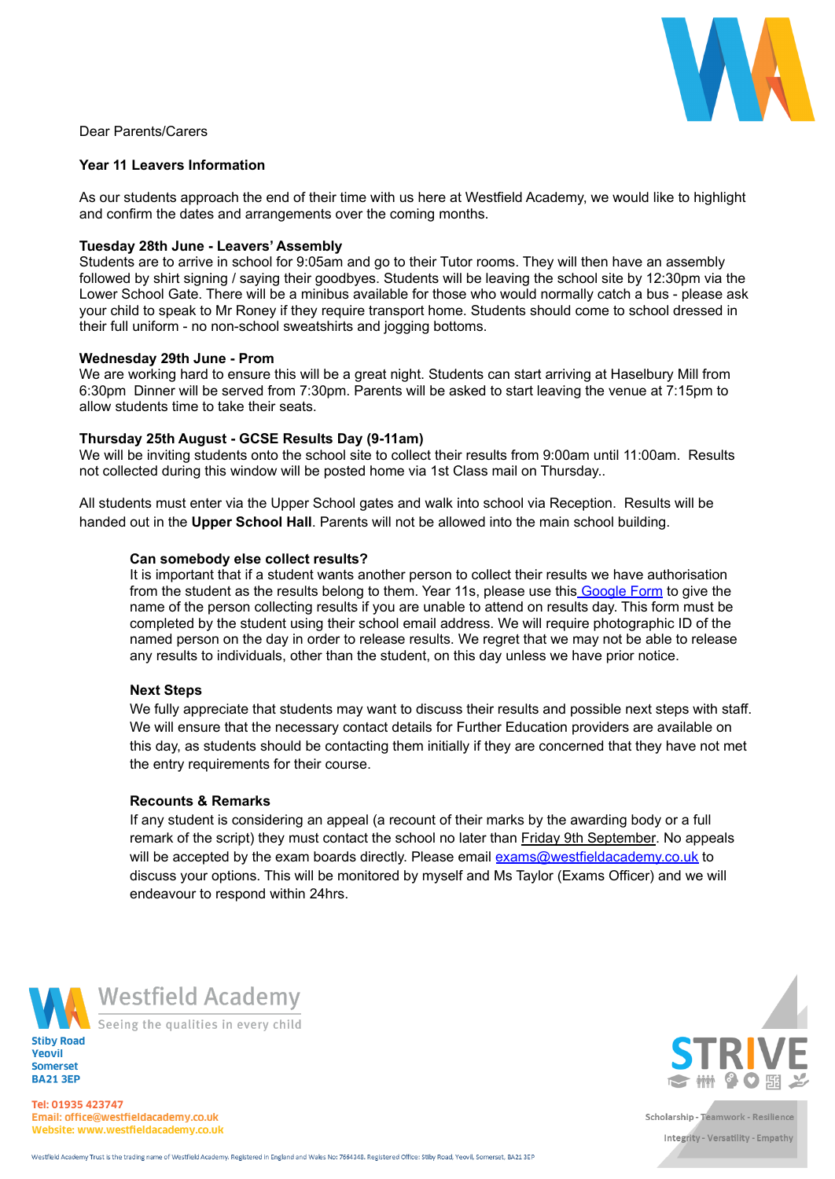

Dear Parents/Carers

## **Year 11 Leavers Information**

As our students approach the end of their time with us here at Westfield Academy, we would like to highlight and confirm the dates and arrangements over the coming months.

# **Tuesday 28th June - Leavers' Assembly**

Students are to arrive in school for 9:05am and go to their Tutor rooms. They will then have an assembly followed by shirt signing / saying their goodbyes. Students will be leaving the school site by 12:30pm via the Lower School Gate. There will be a minibus available for those who would normally catch a bus - please ask your child to speak to Mr Roney if they require transport home. Students should come to school dressed in their full uniform - no non-school sweatshirts and jogging bottoms.

#### **Wednesday 29th June - Prom**

We are working hard to ensure this will be a great night. Students can start arriving at Haselbury Mill from 6:30pm Dinner will be served from 7:30pm. Parents will be asked to start leaving the venue at 7:15pm to allow students time to take their seats.

## **Thursday 25th August - GCSE Results Day (9-11am)**

We will be inviting students onto the school site to collect their results from 9:00am until 11:00am. Results not collected during this window will be posted home via 1st Class mail on Thursday..

All students must enter via the Upper School gates and walk into school via Reception. Results will be handed out in the **Upper School Hall**. Parents will not be allowed into the main school building.

## **Can somebody else collect results?**

It is important that if a student wants another person to collect their results we have authorisation from the student as the results belong to them. Year 11s, please use this [Google](https://docs.google.com/forms/d/1f5t9AGYsNb5zVLxgbeF0fPIOFg92mg1WI8EhMeVPdTc/edit) Form to give the name of the person collecting results if you are unable to attend on results day. This form must be completed by the student using their school email address. We will require photographic ID of the named person on the day in order to release results. We regret that we may not be able to release any results to individuals, other than the student, on this day unless we have prior notice.

#### **Next Steps**

We fully appreciate that students may want to discuss their results and possible next steps with staff. We will ensure that the necessary contact details for Further Education providers are available on this day, as students should be contacting them initially if they are concerned that they have not met the entry requirements for their course.

#### **Recounts & Remarks**

If any student is considering an appeal (a recount of their marks by the awarding body or a full remark of the script) they must contact the school no later than Friday 9th September. No appeals will be accepted by the exam boards directly. Please email [exams@westfieldacademy.co.uk](mailto:exams@westfieldacademy.co.uk) to discuss your options. This will be monitored by myself and Ms Taylor (Exams Officer) and we will endeavour to respond within 24hrs.





Seeing the qualities in every child



Tel: 01935 423747 Email: office@westfieldacademy.co.uk Website: www.westfieldacademy.co.uk